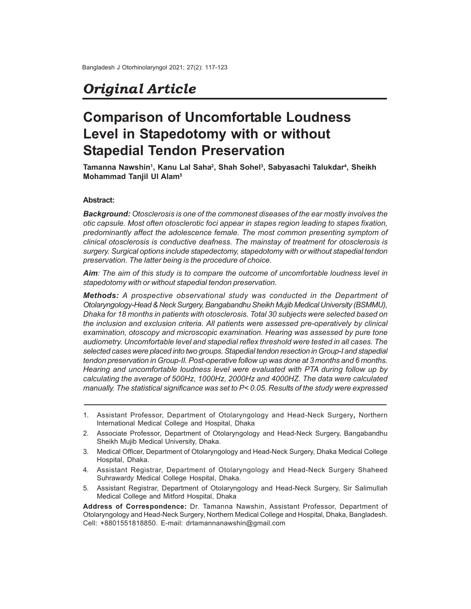# *Original Article*

# **Comparison of Uncomfortable Loudness Level in Stapedotomy with or without Stapedial Tendon Preservation**

**Tamanna Nawshin<sup>1</sup> , Kanu Lal Saha<sup>2</sup> , Shah Sohel<sup>3</sup> , Sabyasachi Talukdar<sup>4</sup> , Sheikh Mohammad Tanjil Ul Alam<sup>5</sup>**

## **Abstract:**

*Background: Otosclerosis is one of the commonest diseases of the ear mostly involves the otic capsule. Most often otosclerotic foci appear in stapes region leading to stapes fixation, predominantly affect the adolescence female. The most common presenting symptom of clinical otosclerosis is conductive deafness. The mainstay of treatment for otosclerosis is surgery. Surgical options include stapedectomy, stapedotomy with or without stapedial tendon preservation. The latter being is the procedure of choice.*

*Aim: The aim of this study is to compare the outcome of uncomfortable loudness level in stapedotomy with or without stapedial tendon preservation.*

*Methods: A prospective observational study was conducted in the Department of Otolaryngology-Head & Neck Surgery, Bangabandhu Sheikh Mujib Medical University (BSMMU), Dhaka for 18 months in patients with otosclerosis. Total 30 subjects were selected based on the inclusion and exclusion criteria. All patients were assessed pre-operatively by clinical examination, otoscopy and microscopic examination. Hearing was assessed by pure tone audiometry. Uncomfortable level and stapedial reflex threshold were tested in all cases. The selected cases were placed into two groups. Stapedial tendon resection in Group-I and stapedial tendon preservation in Group-II. Post-operative follow up was done at 3 months and 6 months. Hearing and uncomfortable loudness level were evaluated with PTA during follow up by calculating the average of 500Hz, 1000Hz, 2000Hz and 4000HZ. The data were calculated manually. The statistical significance was set to P< 0.05. Results of the study were expressed*

- 3. Medical Officer, Department of Otolaryngology and Head-Neck Surgery, Dhaka Medical College Hospital, Dhaka.
- 4. Assistant Registrar, Department of Otolaryngology and Head-Neck Surgery Shaheed Suhrawardy Medical College Hospital, Dhaka.
- 5. Assistant Registrar, Department of Otolaryngology and Head-Neck Surgery, Sir Salimullah Medical College and Mitford Hospital, Dhaka

**Address of Correspondence:** Dr. Tamanna Nawshin, Assistant Professor, Department of Otolaryngology and Head-Neck Surgery, Northern Medical College and Hospital, Dhaka, Bangladesh. Cell: +8801551818850. E-mail: drtamannanawshin@gmail.com

<sup>1.</sup> Assistant Professor, Department of Otolaryngology and Head-Neck Surgery**,** Northern International Medical College and Hospital, Dhaka

<sup>2.</sup> Associate Professor, Department of Otolaryngology and Head-Neck Surgery, Bangabandhu Sheikh Mujib Medical University, Dhaka.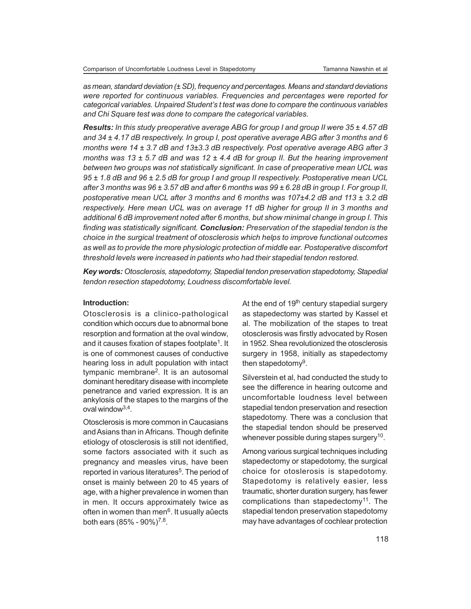*as mean, standard deviation (± SD), frequency and percentages. Means and standard deviations were reported for continuous variables. Frequencies and percentages were reported for categorical variables. Unpaired Student's t test was done to compare the continuous variables and Chi Square test was done to compare the categorical variables.*

*Results: In this study preoperative average ABG for group I and group II were 35 ± 4.57 dB and 34 ± 4.17 dB respectively. In group I, post operative average ABG after 3 months and 6 months were 14 ± 3.7 dB and 13±3.3 dB respectively. Post operative average ABG after 3 months was 13 ± 5.7 dB and was 12 ± 4.4 dB for group II. But the hearing improvement between two groups was not statistically significant. In case of preoperative mean UCL was 95 ± 1.8 dB and 96 ± 2.5 dB for group I and group II respectively. Postoperative mean UCL after 3 months was 96 ± 3.57 dB and after 6 months was 99 ± 6.28 dB in group I. For group II, postoperative mean UCL after 3 months and 6 months was 107±4.2 dB and 113 ± 3.2 dB respectively. Here mean UCL was on average 11 dB higher for group II in 3 months and additional 6 dB improvement noted after 6 months, but show minimal change in group I. This finding was statistically significant. Conclusion: Preservation of the stapedial tendon is the choice in the surgical treatment of otosclerosis which helps to improve functional outcomes as well as to provide the more physiologic protection of middle ear. Postoperative discomfort threshold levels were increased in patients who had their stapedial tendon restored.*

*Key words: Otosclerosis, stapedotomy, Stapedial tendon preservation stapedotomy, Stapedial tendon resection stapedotomy, Loudness discomfortable level.*

## **Introduction:**

Otosclerosis is a clinico-pathological condition which occurs due to abnormal bone resorption and formation at the oval window, and it causes fixation of stapes footplate $^{\sf 1}.$  It is one of commonest causes of conductive hearing loss in adult population with intact tympanic membrane<sup>2</sup> . It is an autosomal dominant hereditary disease with incomplete penetrance and varied expression. It is an ankylosis of the stapes to the margins of the oval window3,4 .

Otosclerosis is more common in Caucasians and Asians than in Africans. Though definite etiology of otosclerosis is still not identified, some factors associated with it such as pregnancy and measles virus, have been reported in various literatures<sup>5</sup>. The period of onset is mainly between 20 to 45 years of age, with a higher prevalence in women than in men. It occurs approximately twice as often in women than men<sup>6</sup>. It usually aûects both ears (85% - 90%)<sup>7,8</sup>.

At the end of  $19<sup>th</sup>$  century stapedial surgery as stapedectomy was started by Kassel et al. The mobilization of the stapes to treat otosclerosis was firstly advocated by Rosen in 1952. Shea revolutionized the otosclerosis surgery in 1958, initially as stapedectomy then stapedotomy<sup>9</sup>.

Silverstein et al, had conducted the study to see the difference in hearing outcome and uncomfortable loudness level between stapedial tendon preservation and resection stapedotomy. There was a conclusion that the stapedial tendon should be preserved whenever possible during stapes surgery $^{10}$ .

Among various surgical techniques including stapedectomy or stapedotomy, the surgical choice for otoslerosis is stapedotomy. Stapedotomy is relatively easier, less traumatic, shorter duration surgery, has fewer complications than stapedectomy<sup>11</sup>. The stapedial tendon preservation stapedotomy may have advantages of cochlear protection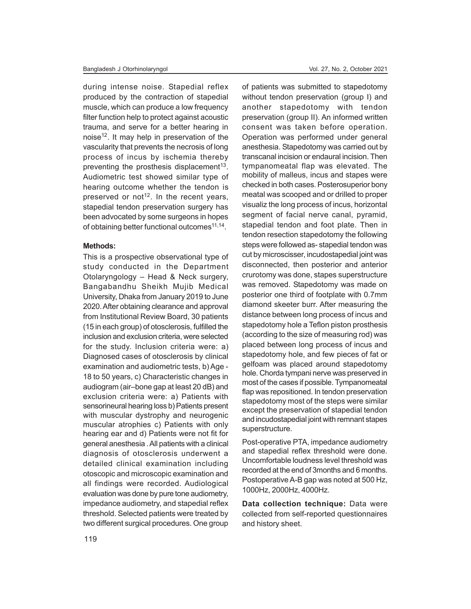during intense noise. Stapedial reflex produced by the contraction of stapedial muscle, which can produce a low frequency filter function help to protect against acoustic trauma, and serve for a better hearing in noise<sup>12</sup>. It may help in preservation of the vascularity that prevents the necrosis of long process of incus by ischemia thereby preventing the prosthesis displacement<sup>13</sup>. Audiometric test showed similar type of hearing outcome whether the tendon is preserved or not<sup>12</sup>. In the recent years, stapedial tendon preservation surgery has been advocated by some surgeons in hopes of obtaining better functional outcomes<sup>11,14</sup>.

### **Methods:**

This is a prospective observational type of study conducted in the Department Otolaryngology – Head & Neck surgery, Bangabandhu Sheikh Mujib Medical University, Dhaka from January 2019 to June 2020. After obtaining clearance and approval from Institutional Review Board, 30 patients (15 in each group) of otosclerosis, fulfilled the inclusion and exclusion criteria, were selected for the study. Inclusion criteria were: a) Diagnosed cases of otosclerosis by clinical examination and audiometric tests, b) Age - 18 to 50 years, c) Characteristic changes in audiogram (air–bone gap at least 20 dB) and exclusion criteria were: a) Patients with sensorineural hearing loss b) Patients present with muscular dystrophy and neurogenic muscular atrophies c) Patients with only hearing ear and d) Patients were not fit for general anesthesia . All patients with a clinical diagnosis of otosclerosis underwent a detailed clinical examination including otoscopic and microscopic examination and all findings were recorded. Audiological evaluation was done by pure tone audiometry, impedance audiometry, and stapedial reflex threshold. Selected patients were treated by two different surgical procedures. One group of patients was submitted to stapedotomy without tendon preservation (group I) and another stapedotomy with tendon preservation (group II). An informed written consent was taken before operation. Operation was performed under general anesthesia. Stapedotomy was carried out by transcanal incision or endaural incision. Then tympanomeatal flap was elevated. The mobility of malleus, incus and stapes were checked in both cases. Posterosuperior bony meatal was scooped and or drilled to proper visualiz the long process of incus, horizontal segment of facial nerve canal, pyramid, stapedial tendon and foot plate. Then in tendon resection stapedotomy the following steps were followed as- stapedial tendon was cut by microscisser, incudostapedial joint was disconnected, then posterior and anterior crurotomy was done, stapes superstructure was removed. Stapedotomy was made on posterior one third of footplate with 0.7mm diamond skeeter burr. After measuring the distance between long process of incus and stapedotomy hole a Teflon piston prosthesis (according to the size of measuring rod) was placed between long process of incus and stapedotomy hole, and few pieces of fat or gelfoam was placed around stapedotomy hole. Chorda tympani nerve was preserved in most of the cases if possible. Tympanomeatal flap was repositioned. In tendon preservation stapedotomy most of the steps were similar except the preservation of stapedial tendon and incudostapedial joint with remnant stapes superstructure.

Post-operative PTA, impedance audiometry and stapedial reflex threshold were done. Uncomfortable loudness level threshold was recorded at the end of 3months and 6 months. Postoperative A-B gap was noted at 500 Hz, 1000Hz, 2000Hz, 4000Hz.

**Data collection technique:** Data were collected from self-reported questionnaires and history sheet.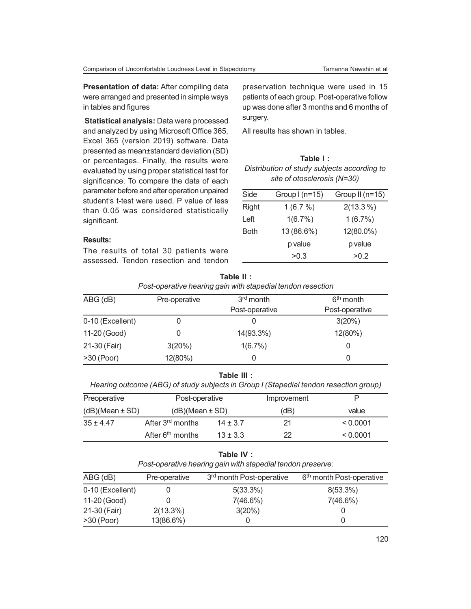**Presentation of data:** After compiling data were arranged and presented in simple ways in tables and figures

 **Statistical analysis:** Data were processed and analyzed by using Microsoft Office 365, Excel 365 (version 2019) software. Data presented as mean±standard deviation (SD) or percentages. Finally, the results were evaluated by using proper statistical test for significance. To compare the data of each parameter before and after operation unpaired student's t-test were used. P value of less than 0.05 was considered statistically significant.

preservation technique were used in 15 patients of each group. Post-operative follow up was done after 3 months and 6 months of surgery.

All results has shown in tables.

# **Table I :**

| Distribution of study subjects according to |  |
|---------------------------------------------|--|
| site of otosclerosis (N=30)                 |  |

| Side  | Group $I(n=15)$ | Group II (n=15) |
|-------|-----------------|-----------------|
| Right | 1(6.7%)         | $2(13.3\%)$     |
| Left  | 1(6.7%)         | 1(6.7%)         |
| Both  | 13 (86.6%)      | 12(80.0%)       |
|       | p value         | p value         |
|       | >0.3            | >0.2            |

# **Results:**

The results of total 30 patients were assessed. Tendon resection and tendon

| Post-operative hearing gain with stapedial tendon resection |                                        |                |                |  |
|-------------------------------------------------------------|----------------------------------------|----------------|----------------|--|
| $ABG$ (dB)                                                  | 3 <sup>rd</sup> month<br>Pre-operative |                | $6th$ month    |  |
|                                                             |                                        | Post-operative | Post-operative |  |
| 0-10 (Excellent)                                            |                                        | U              | 3(20%)         |  |
| 11-20 (Good)                                                |                                        | 14(93.3%)      | 12(80%)        |  |
| 21-30 (Fair)                                                | 3(20%)                                 | 1(6.7%)        |                |  |
| $>30$ (Poor)                                                | 12(80%)                                | 0              |                |  |

| Table II :                                                  |
|-------------------------------------------------------------|
| Post-operative hearing gain with stapedial tendon resection |

#### **Table III :**

*Hearing outcome (ABG) of study subjects in Group I (Stapedial tendon resection group)*

| Preoperative        | Post-operative               |              | Improvement |          |
|---------------------|------------------------------|--------------|-------------|----------|
| $(dB)(Mean \pm SD)$ | $(dB)(Mean \pm SD)$          |              | (dB)        | value    |
| $35 + 4.47$         | After 3 <sup>rd</sup> months | $14 \pm 3.7$ | 21          | < 0.0001 |
|                     | After $6th$ months           | $13 \pm 3.3$ | 22          | < 0.0001 |

# **Table IV :**

*Post-operative hearing gain with stapedial tendon preserve:*

| $ABG$ (dB)       | Pre-operative | 3 <sup>rd</sup> month Post-operative | 6 <sup>th</sup> month Post-operative |
|------------------|---------------|--------------------------------------|--------------------------------------|
| 0-10 (Excellent) |               | $5(33.3\%)$                          | $8(53.3\%)$                          |
| 11-20 (Good)     |               | $7(46.6\%)$                          | 7(46.6%)                             |
| 21-30 (Fair)     | $2(13.3\%)$   | 3(20%)                               |                                      |
| $>30$ (Poor)     | 13(86.6%)     |                                      |                                      |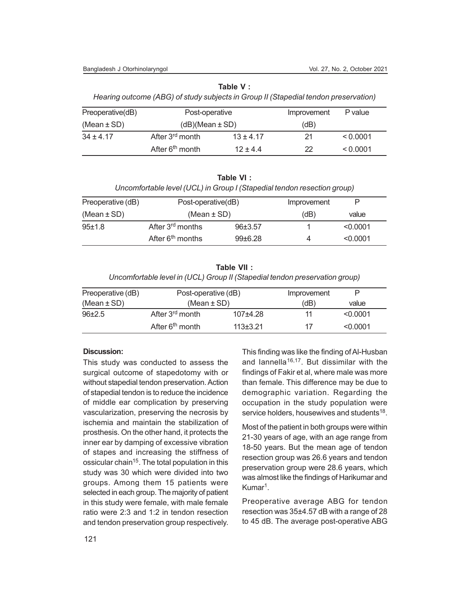#### Bangladesh J Otorhinolaryngol Vol. 27, No. 2, October 2021

**Table V :**

*Hearing outcome (ABG) of study subjects in Group II (Stapedial tendon preservation)*

| Preoperative(dB) | Post-operative              |               | Improvement | P value  |
|------------------|-----------------------------|---------------|-------------|----------|
| (Mean $\pm$ SD)  | $(dB)(Mean \pm SD)$         |               | (dB)        |          |
| $34 + 4.17$      | After 3 <sup>rd</sup> month | $13 \pm 4.17$ | 21          | < 0.0001 |
|                  | After 6 <sup>th</sup> month | $12 + 44$     | 22          | < 0.0001 |

**Table VI :**

*Uncomfortable level (UCL) in Group I (Stapedial tendon resection group)*

| Preoperative (dB) | Post-operative(dB)           |             | Improvement | P        |  |
|-------------------|------------------------------|-------------|-------------|----------|--|
| (Mean $\pm$ SD)   | (Mean $\pm$ SD)              |             | (dB)        | value    |  |
| 95±1.8            | After 3 <sup>rd</sup> months | 96±3.57     |             | < 0.0001 |  |
|                   | After $6th$ months           | $99 + 6.28$ |             | < 0.0001 |  |

**Table VII :** *Uncomfortable level in (UCL) Group II (Stapedial tendon preservation group)*

|                   |                             |                     | Improvement |          |
|-------------------|-----------------------------|---------------------|-------------|----------|
| Preoperative (dB) |                             | Post-operative (dB) |             |          |
| (Mean $\pm$ SD)   | (Mean $\pm$ SD)             |                     | (dB)        | value    |
| $96+2.5$          | After 3 <sup>rd</sup> month | $107+4.28$          | 11          | < 0.0001 |
|                   | After 6 <sup>th</sup> month | $113+3.21$          | 17          | < 0.0001 |

## **Discussion:**

This study was conducted to assess the surgical outcome of stapedotomy with or without stapedial tendon preservation. Action of stapedial tendon is to reduce the incidence of middle ear complication by preserving vascularization, preserving the necrosis by ischemia and maintain the stabilization of prosthesis. On the other hand, it protects the inner ear by damping of excessive vibration of stapes and increasing the stiffness of ossicular chain<sup>15</sup>. The total population in this study was 30 which were divided into two groups. Among them 15 patients were selected in each group. The majority of patient in this study were female, with male female ratio were 2:3 and 1:2 in tendon resection and tendon preservation group respectively.

This finding was like the finding of Al-Husban and Iannella<sup>16,17</sup>. But dissimilar with the findings of Fakir et al, where male was more than female. This difference may be due to demographic variation. Regarding the occupation in the study population were service holders, housewives and students<sup>18</sup>.

Most of the patient in both groups were within 21-30 years of age, with an age range from 18-50 years. But the mean age of tendon resection group was 26.6 years and tendon preservation group were 28.6 years, which was almost like the findings of Harikumar and Kumar<sup>1</sup>.

Preoperative average ABG for tendon resection was 35±4.57 dB with a range of 28 to 45 dB. The average post-operative ABG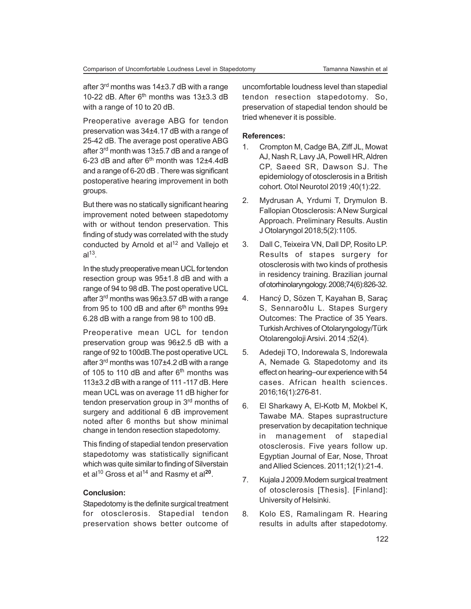after 3rd months was 14±3.7 dB with a range 10-22 dB. After  $6<sup>th</sup>$  months was 13 $\pm$ 3.3 dB with a range of 10 to 20 dB.

Preoperative average ABG for tendon preservation was 34±4.17 dB with a range of 25-42 dB. The average post operative ABG after 3rd month was 13±5.7 dB and a range of 6-23 dB and after  $6<sup>th</sup>$  month was 12 $\pm$ 4.4dB and a range of 6-20 dB . There was significant postoperative hearing improvement in both groups.

But there was no statically significant hearing improvement noted between stapedotomy with or without tendon preservation. This finding of study was correlated with the study conducted by Arnold et al<sup>12</sup> and Vallejo et al $^{13}$ .

In the study preoperative mean UCL for tendon resection group was 95±1.8 dB and with a range of 94 to 98 dB. The post operative UCL after 3<sup>rd</sup> months was 96±3.57 dB with a range from 95 to 100 dB and after  $6<sup>th</sup>$  months 99 $\pm$ 6.28 dB with a range from 98 to 100 dB.

Preoperative mean UCL for tendon preservation group was 96±2.5 dB with a range of 92 to 100dB.The post operative UCL after 3rd months was 107±4.2 dB with a range of 105 to 110 dB and after  $6<sup>th</sup>$  months was 113±3.2 dB with a range of 111 -117 dB. Here mean UCL was on average 11 dB higher for tendon preservation group in 3<sup>rd</sup> months of surgery and additional 6 dB improvement noted after 6 months but show minimal change in tendon resection stapedotomy.

This finding of stapedial tendon preservation stapedotomy was statistically significant which was quite similar to finding of Silverstain et al<sup>10</sup> Gross et al<sup>14</sup> and Rasmy et al<sup>20</sup>.

### **Conclusion:**

Stapedotomy is the definite surgical treatment for otosclerosis. Stapedial tendon preservation shows better outcome of uncomfortable loudness level than stapedial tendon resection stapedotomy. So, preservation of stapedial tendon should be tried whenever it is possible.

#### **References:**

- 1. Crompton M, Cadge BA, Ziff JL, Mowat AJ, Nash R, Lavy JA, Powell HR, Aldren CP, Saeed SR, Dawson SJ. The epidemiology of otosclerosis in a British cohort. Otol Neurotol 2019 ;40(1):22.
- 2. Mydrusan A, Yrdumi T, Drymulon B. Fallopian Otosclerosis: A New Surgical Approach. Preliminary Results. Austin J Otolaryngol 2018;5(2):1105.
- 3. Dall C, Teixeira VN, Dall DP, Rosito LP. Results of stapes surgery for otosclerosis with two kinds of prothesis in residency training. Brazilian journal of otorhinolaryngology. 2008;74(6):826-32.
- 4. Hancý D, Sözen T, Kayahan B, Saraç S, Sennaroðlu L. Stapes Surgery Outcomes: The Practice of 35 Years. Turkish Archives of Otolaryngology/Türk Otolarengoloji Arsivi. 2014 ;52(4).
- 5. Adedeji TO, Indorewala S, Indorewala A, Nemade G. Stapedotomy and its effect on hearing–our experience with 54 cases. African health sciences. 2016;16(1):276-81.
- 6. El Sharkawy A, El-Kotb M, Mokbel K, Tawabe MA. Stapes suprastructure preservation by decapitation technique in management of stapedial otosclerosis. Five years follow up. Egyptian Journal of Ear, Nose, Throat and Allied Sciences. 2011;12(1):21-4.
- 7. Kujala J 2009.Modern surgical treatment of otosclerosis [Thesis]. [Finland]: University of Helsinki.
- 8. Kolo ES, Ramalingam R. Hearing results in adults after stapedotomy.